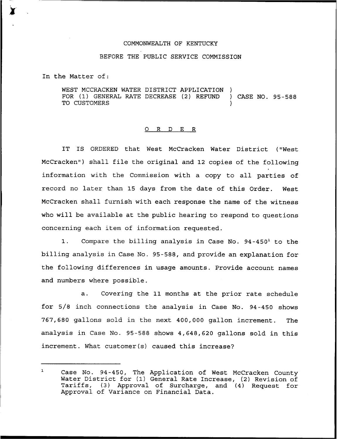## COMMONWEALTH OF KENTUCKY

## BEFORE THE PUBLIC SERVICE COMMISSION

In the Matter of:

WEST MCCRACKEN WATER DISTRICT APPLICATION FOR (1) GENERAL RATE DECREASE (2) REFUND ) CASE NO. 95-588 TO CUSTOMERS

## 0 R <sup>D</sup> E R

IT IS ORDERED that West McCracken Water District ("West McCracken") shall file the original and 12 copies of the following information with the Commission with a copy to all parties of record no later than 15 days from the date of this Order. West McCracken shall furnish with each response the name of the witness who will be available at the public hearing to respond to questions concerning each item of information requested.

1. Compare the billing analysis in Case No.  $94-450<sup>1</sup>$  to the billing analysis in Case No. 95-588, and provide an explanation for the following differences in usage amounts. Provide account names and numbers where possible.

a. Covering the 11 months at the prior rate schedule for 5/8 inch connections the analysis in Case No. 94-450 shows 767,680 gallons sold in the next 400,000 gallon increment. The analysis in Case No. 95-588 shows 4,648,620 gallons sold in this increment. What customer(s) caused this increase?

 $\mathbf{1}$ Case No. 94-450, The Application of West McCracken County Water District for (1) General Rate Increase, (2) Revision of Tariffs, (3) Approval of Surcharge, and (4) Request for Approval of Variance on Financial Data.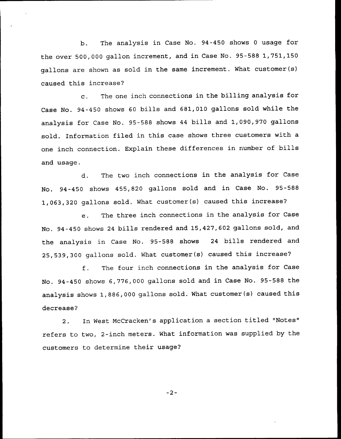b. The analysis in Case No. 94-450 shows <sup>0</sup> usage for the over 500,000 gallon increment, and in Case No. 95-588 1,751,150 gallons are shown as sold in the same increment. What customer(s) caused this increase?

c. The one inch connections in the billing analysis for Case No. 94-450 shows <sup>60</sup> bills and 681,010 gallons sold while the analysis for Case No. 95-588 shows <sup>44</sup> bills and 1,090,970 gallons sold. Information filed in this case shows three customers with a one inch connection. Explain these differences in number of bills and usage.

d. The two inch connections in the analysis for Case No. 94-450 shows 455,820 gallons sold and in Case No. 95-588 1,063,320 gallons sold. What customer(s) caused this increase?

e. The three inch connections in the analysis for Case No. 94-450 shows <sup>24</sup> bills rendered and 15,427,602 gallons sold, and. the analysis in Case No. 95-588 shows <sup>24</sup> bills rendered and 25,539,300 gallons sold. What customer(s) caused this increase'?

f, The four inch connections in the analysis for Case No. 94-450 shows 6,776,000 gallons sold and in Case No. 95-588 the analysis shows 1,886,000 gallons sold. What customer(s) caused this decrease?

2. In West McCracken's application <sup>a</sup> section titled "Notes" refers to two, 2-inch meters. What information was supplied by the customers to determine their usage?

 $-2-$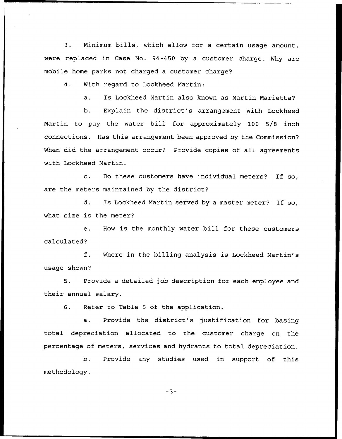3. Minimum bills, which allow for a certain usage amount, were replaced in Case No. 94-450 by a customer charge. Why are mobile home parks not charged a customer charge?

4. With regard to Lockheed Martin:

a. Is Lockheed Martin also known as Martin Marietta?

b. Explain the district's arrangement with Lockheed Martin to pay the water bill for approximately 100 5/8 inch connections. Has this arrangement been approved by the Commission? When did the arrangement occur? Provide copies of all agreements with Lockheed Martin.

c. Do these customers have individual meters? If so, are the meters maintained by the district?

 $d$ . Is Lockheed Martin served by a master meter? If so, what size is the meter?

 $e<sub>1</sub>$ How is the monthly water bill for these customers calculated'

 $f$ . Where in the billing analysis is Lockheed Martin's usage shown?

5. Provide a detailed job description for each employee and their annual salary.

6. Refer to Table <sup>5</sup> of the application.

a. Provide the district's justification for basing total depreciation allocated to the customer charge on the percentage of meters, services and hydrants to total depreciation.

b. Provide any studies used in support of this methodology.

 $-3-$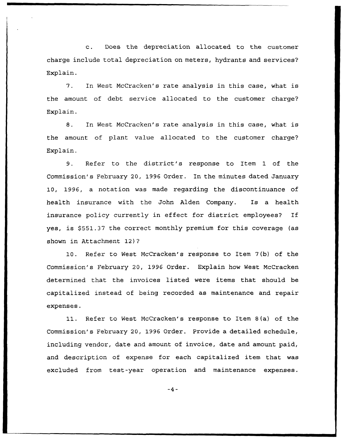c. Does the depreciation allocated to the customer charge include total depreciation on meters, hydrants and services? Explain.

In West McCracken's rate analysis in this case, what is 7. the amount of debt service allocated to the customer charge? Explain.

8. In West McCracken's rate analysis in this case, what is the amount of plant value allocated to the customer charge? Explain.

9. Refer to the district's response to Item 1 of the Commission's February 20, 1996 Order. In the minutes dated January 10, 1996, a notation was made regarding the discontinuance of health insurance with the John Alden Company. Is a health insurance policy currently in effect for district employees? If yes, is \$551.37 the correct monthly premium for this coverage (as shown in Attachment 12)?

10. Refer to West McCracken's response to Item 7(b} of the Commission's February 20, 1996 Order. Explain how West McCracken determined that the invoices listed were items that should be capitalized instead of being recorded as maintenance and repair expenses.

11. Refer to West McCracken's response to Item 8(a) of the Commission's February 20, 1996 Order. Provide a detailed schedule, including vendor, date and amount of invoice, date and amount paid, and description of expense for each capitalized item that was excluded from test-year operation and maintenance expenses.

 $-4-$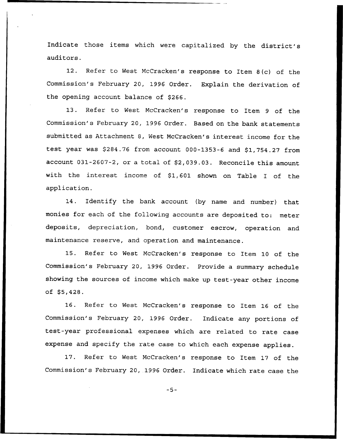Indicate those items which were capitalized by the district's auditors.

12. Refer to West McCracken's response to Item 8(c) of the Commission's February 20, 1996 Order. Explain the derivation of the opening account balance of \$266.

13. Refer to West McCracken's response to Item <sup>9</sup> of the Commission's February 20, 1996 Order. Based on the bank statements submitted as Attachment 8, Nest McCracken's interest income for the test year was  $$284.76$  from account 000-1353-6 and  $$1,754.27$  from account 031-2607-2, or a total of \$2,039.03. Reconcile this amount with the interest income of  $$1,601$  shown on Table I of the application.

14. Identify the bank account (by name and number) that monies for each of the following accounts are deposited to: meter deposits, depreciation, bond, customer escrow, operation and maintenance reserve, and operation and maintenance.

15. Refer to Nest McCracken's response to Item 10 of the Commission's February 20, 1996 Order. Provide a summary schedule showing the sources of income which make up test-year other income of  $$5,428.$ 

16. Refer to Nest McCracken's response to Item 16 of the Commission's February 20, 1996 Order. Indicate any portions of test-year professional expenses which are related to rate case expense and specify the rate case to which each expense applies.

17. Refer to West McCracken's response to Item 17 of the Commission's February 20, 1996 Order. Indicate which rate case the

 $-5-$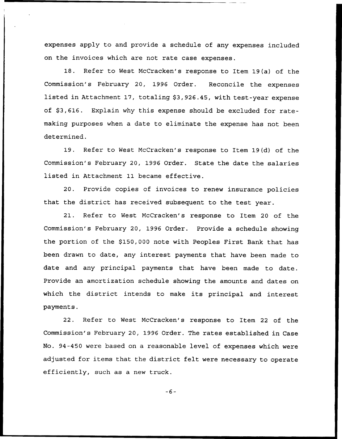expenses apply to and provide a schedule of any expenses included on the invoices which are not rate case expenses.

18. Refer to West McCracken's response to Item 19(a) of the Commission's February 20, 1996 Order. Reconcile the expenses listed in Attachment 17, totaling \$3,926.45, with test-year expense of \$3,616. Explain why this expense should be excluded for ratemaking purposes when a date to eliminate the expense has not been determined.

19. Refer to West McCracken's response to Item 19(d) of the Commission's February 20, 1996 Order. State the date the salaries listed in Attachment 11 became effective.

20. Provide copies of invoices to renew insurance policies that the district has received subsequent to the test year.

21. Refer to West McCracken's response to Item 20 of the Commission's February 20, 1996 Order. Provide a schedule showing the portion of the \$150,000 note with Peoples First Bank that has been drawn to date, any interest payments that have been made to date and any principal payments that have been made to date. Provide an amortization schedule showing the amounts and dates on which the district intends to make its principal and interest payments.

22. Refer to West McCracken's response to Item 22 of the Commission's February 20, 1996 Order. The rates established in Case No. 94-450 were based on a reasonable level of expenses which were adjusted for items that the district felt were necessary to operate efficiently, such as a new truck.

 $-6-$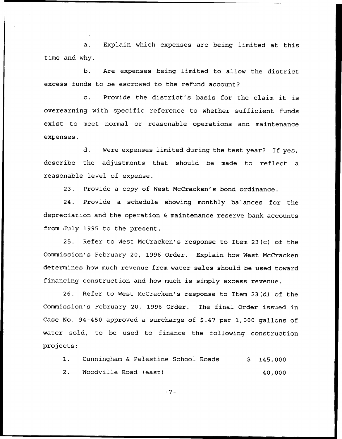a. Explain which expenses are being limited at this time and why.

b. Are expenses being limited to allow the district excess funds to be escrowed to the refund account?

c. Provide the district's basis for the claim it is overearning with specific reference to whether sufficient funds exist to meet normal or reasonable operations and maintenance expenses.

d. Were expenses limited during the test year? If yes, describe the adjustments that should be made to reflect a reasonable level of expense.

23. Provide a copy of West McCracken's bond ordinance.

24. Provide a schedule showing monthly balances for the depreciation and the operation & maintenance reserve bank accounts from July 1995 to the present.

25. Refer to West McCracken's response to Item 23(c) of the Commission's February 20, 1996 Order. Explain how West McCracken determines how much revenue from water sales should be used toward financing construction and how much is simply excess revenue.

26. Refer to West McCracken's response to Item 23(d) of the Commission's February 20, 1996 Order. The final Order issued in Case No. 94-450 approved a surcharge of \$.47 per 1,000 gallons of water sold, to be used to finance the following construction projects:

1. Cunningham & Palestine School Roads \$ 145,000 2. Woodville Road (east) 40,000

 $-7-$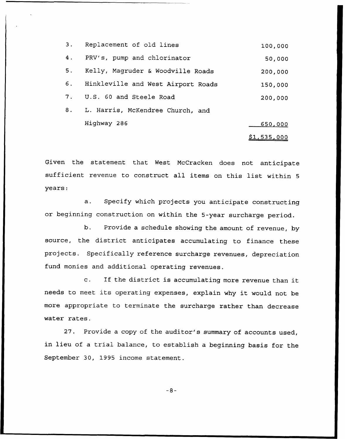|    | 3. Replacement of old lines           | 100,000            |
|----|---------------------------------------|--------------------|
| 4. | PRV's, pump and chlorinator           | 50,000             |
| 5. | Kelly, Magruder & Woodville Roads     | 200,000            |
|    | 6. Hinkleville and West Airport Roads | 150,000            |
| 7. | U.S. 60 and Steele Road               | 200,000            |
| 8. | L. Harris, McKendree Church, and      |                    |
|    | Highway 286                           | <u>650,000</u>     |
|    |                                       | <u>\$1,535,000</u> |

Given the statement that West NcCracken does not anticipate sufficient revenue to construct all items on this list within <sup>5</sup> years:

a. Specify which projects you anticipate constructing or beginning construction on within the 5-year surcharge period.

b. Provide a schedule showing the amount of revenue, by source, the district anticipates accumulating to finance these projects. Specifically reference surcharge revenues, depreciation fund monies and additional operating revenues.

c. If the district is accumulating more revenue than it needs to meet its operating expenses, explain why it would not be more appropriate to terminate the surcharge rather than decrease water rates.

27. Provide a copy of the auditor's summary of accounts used, in lieu of <sup>a</sup> trial balance, to establish <sup>a</sup> beginning basis for the September 30, 1995 income statement.

 $-8-$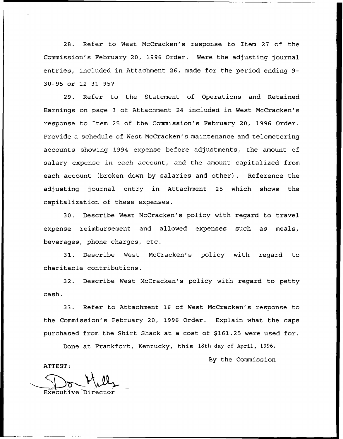28. Refer to West NcCracken's response to Item 27 of the Commission's February 20, 1996 Order. Were the adjusting journal entries, included in Attachment 26, made for the period ending 9- 30-95 or 12-31-95?

29. Refer to the Statement of Operations and Retained Earnings on page <sup>3</sup> of Attachment 24 included in West McCracken's response to Item 25 of the Commission's February 20, 1996 Order. Provide a schedule of West NcCracken's maintenance and telemetering accounts showing 1994 expense before adjustments, the amount of salary expense in each account, and the amount capitalized from each account (broken down by salaries and other). Reference the adjusting journal entry in Attachment 25 which shows the capitalization of these expenses.

30. Describe West NcCracken's policy with regard to travel expense reimbursement and allowed expenses such as meals, beverages, phone charges, etc.

31. Describe West NcCracken's policy with regard to charitable contributions.

32. Describe West NcCracken's policy with regard to petty cash.

33. Refer to Attachment 16 of West NcCracken's response to the Commission's February 20, 1996 Order. Explain what the caps purchased from the Shirt Shack at a cost of \$161.25 were used for.

Done at Frankfort, Kentucky, this 18th day of April, 1996.

By the Commission

ATTEST:

Executive Director